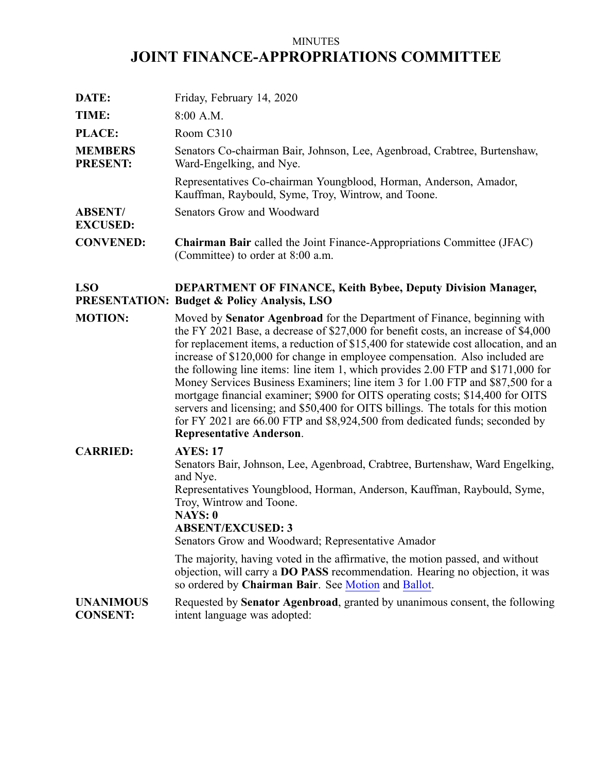# MINUTES **JOINT FINANCE-APPROPRIATIONS COMMITTEE**

| DATE:                             | Friday, February 14, 2020                                                                                                     |
|-----------------------------------|-------------------------------------------------------------------------------------------------------------------------------|
| TIME:                             | $8:00$ A.M.                                                                                                                   |
| PLACE:                            | Room C310                                                                                                                     |
| <b>MEMBERS</b><br><b>PRESENT:</b> | Senators Co-chairman Bair, Johnson, Lee, Agenbroad, Crabtree, Burtenshaw,<br>Ward-Engelking, and Nye.                         |
|                                   | Representatives Co-chairman Youngblood, Horman, Anderson, Amador,<br>Kauffman, Raybould, Syme, Troy, Wintrow, and Toone.      |
| <b>ABSENT/</b><br><b>EXCUSED:</b> | Senators Grow and Woodward                                                                                                    |
| <b>CONVENED:</b>                  | <b>Chairman Bair</b> called the Joint Finance-Appropriations Committee (JFAC)<br>(Committee) to order at 8:00 a.m.            |
| <b>LSO</b>                        | <b>DEPARTMENT OF FINANCE, Keith Bybee, Deputy Division Manager,</b><br><b>PRESENTATION: Budget &amp; Policy Analysis, LSO</b> |
| <b>MOTION:</b>                    | Moved by <b>Senator Agenbroad</b> for the Department of Finance, beginning with                                               |

**MOTION:** Moved by **Senator Agenbroad** for the Department of Finance, beginning with the FY 2021 Base, <sup>a</sup> decrease of \$27,000 for benefit costs, an increase of \$4,000 for replacement items, <sup>a</sup> reduction of \$15,400 for statewide cost allocation, and an increase of \$120,000 for change in employee compensation. Also included are the following line items: line item 1, which provides 2.00 FTP and \$171,000 for Money Services Business Examiners; line item 3 for 1.00 FTP and \$87,500 for <sup>a</sup> mortgage financial examiner; \$900 for OITS operating costs; \$14,400 for OITS servers and licensing; and \$50,400 for OITS billings. The totals for this motion for FY 2021 are 66.00 FTP and \$8,924,500 from dedicated funds; seconded by **Representative Anderson**.

# **CARRIED: AYES: 17**

Senators Bair, Johnson, Lee, Agenbroad, Crabtree, Burtenshaw, Ward Engelking, and Nye. Representatives Youngblood, Horman, Anderson, Kauffman, Raybould, Syme,

Troy, Wintrow and Toone.

#### **NAYS: 0 ABSENT/EXCUSED: 3**

Senators Grow and Woodward; Representative Amador

The majority, having voted in the affirmative, the motion passed, and without objection, will carry <sup>a</sup> **DO PASS** recommendation. Hearing no objection, it was so ordered by **Chairman Bair**. See [Motion](https://legislature.idaho.gov/wp-content/uploads/budget/JFAC/sessionrecord/2020/6.Economic Development/Finance, Department of/~Budget Setting/February 14, 2020/A.Motion.pdf?1582641992) and [Ballot](https://legislature.idaho.gov/wp-content/uploads/budget/JFAC/sessionrecord/2020/6.Economic Development/Finance, Department of/~Budget Setting/February 14, 2020/A.Ballot.pdf?1582641992).

#### **UNANIMOUS CONSENT:** Requested by **Senator Agenbroad**, granted by unanimous consent, the following intent language was adopted: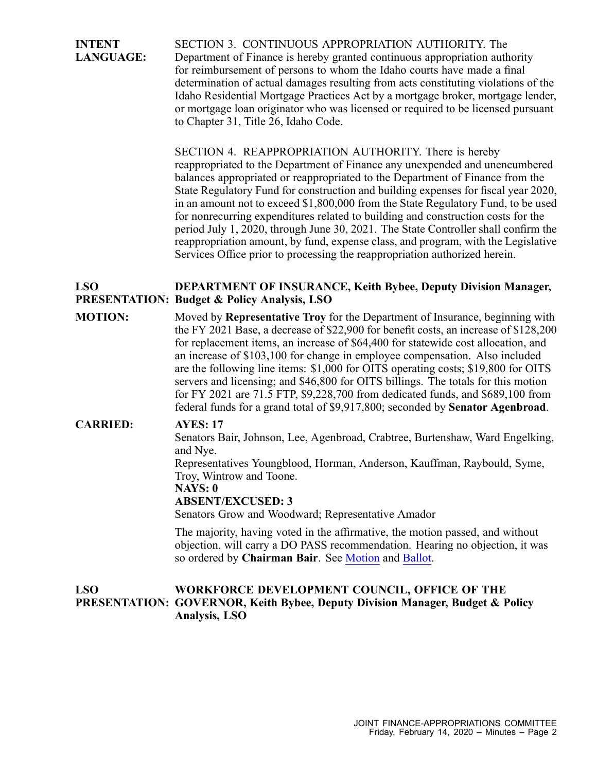**INTENT LANGUAGE:** SECTION 3. CONTINUOUS APPROPRIATION AUTHORITY. The Department of Finance is hereby granted continuous appropriation authority for reimbursement of persons to whom the Idaho courts have made <sup>a</sup> final determination of actual damages resulting from acts constituting violations of the Idaho Residential Mortgage Practices Act by <sup>a</sup> mortgage broker, mortgage lender, or mortgage loan originator who was licensed or required to be licensed pursuan<sup>t</sup> to Chapter 31, Title 26, Idaho Code.

> SECTION 4. REAPPROPRIATION AUTHORITY. There is hereby reappropriated to the Department of Finance any unexpended and unencumbered balances appropriated or reappropriated to the Department of Finance from the State Regulatory Fund for construction and building expenses for fiscal year 2020, in an amount not to exceed \$1,800,000 from the State Regulatory Fund, to be used for nonrecurring expenditures related to building and construction costs for the period July 1, 2020, through June 30, 2021. The State Controller shall confirm the reappropriation amount, by fund, expense class, and program, with the Legislative Services Office prior to processing the reappropriation authorized herein.

#### **LSO PRESENTATION: Budget & Policy Analysis, LSO DEPARTMENT OF INSURANCE, Keith Bybee, Deputy Division Manager,**

**MOTION:** Moved by **Representative Troy** for the Department of Insurance, beginning with the FY 2021 Base, <sup>a</sup> decrease of \$22,900 for benefit costs, an increase of \$128,200 for replacement items, an increase of \$64,400 for statewide cost allocation, and an increase of \$103,100 for change in employee compensation. Also included are the following line items: \$1,000 for OITS operating costs; \$19,800 for OITS servers and licensing; and \$46,800 for OITS billings. The totals for this motion for FY 2021 are 71.5 FTP, \$9,228,700 from dedicated funds, and \$689,100 from federal funds for <sup>a</sup> grand total of \$9,917,800; seconded by **Senator Agenbroad**.

## **CARRIED: AYES: 17**

Senators Bair, Johnson, Lee, Agenbroad, Crabtree, Burtenshaw, Ward Engelking, and Nye.

Representatives Youngblood, Horman, Anderson, Kauffman, Raybould, Syme, Troy, Wintrow and Toone.

### **NAYS: 0**

#### **ABSENT/EXCUSED: 3**

Senators Grow and Woodward; Representative Amador

The majority, having voted in the affirmative, the motion passed, and without objection, will carry <sup>a</sup> DO PASS recommendation. Hearing no objection, it was so ordered by **Chairman Bair**. See [Motion](https://legislature.idaho.gov/wp-content/uploads/budget/JFAC/sessionrecord/2020/6.Economic Development/Insurance, Department of/~Budget Setting/February 14, 2020/A.Motion.pdf?1582641992) and [Ballot](https://legislature.idaho.gov/wp-content/uploads/budget/JFAC/sessionrecord/2020/6.Economic Development/Insurance, Department of/~Budget Setting/February 14, 2020/A.Ballot.pdf?1582641992).

#### **LSO PRESENTATION: GOVERNOR, Keith Bybee, Deputy Division Manager, Budget & Policy WORKFORCE DEVELOPMENT COUNCIL, OFFICE OF THE Analysis, LSO**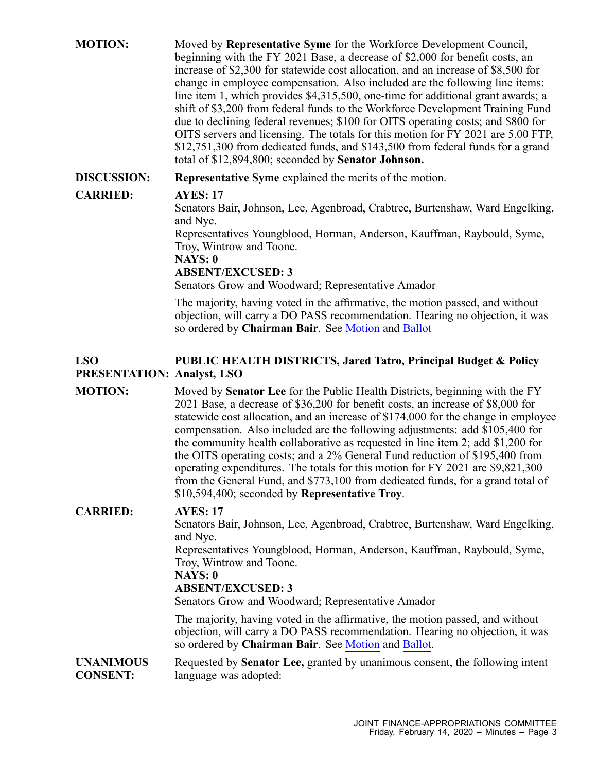| <b>MOTION:</b>                                  | Moved by <b>Representative Syme</b> for the Workforce Development Council,<br>beginning with the FY 2021 Base, a decrease of \$2,000 for benefit costs, an<br>increase of \$2,300 for statewide cost allocation, and an increase of \$8,500 for<br>change in employee compensation. Also included are the following line items:<br>line item 1, which provides \$4,315,500, one-time for additional grant awards; a<br>shift of \$3,200 from federal funds to the Workforce Development Training Fund<br>due to declining federal revenues; \$100 for OITS operating costs; and \$800 for<br>OITS servers and licensing. The totals for this motion for FY 2021 are 5.00 FTP,<br>\$12,751,300 from dedicated funds, and \$143,500 from federal funds for a grand<br>total of \$12,894,800; seconded by Senator Johnson. |
|-------------------------------------------------|-------------------------------------------------------------------------------------------------------------------------------------------------------------------------------------------------------------------------------------------------------------------------------------------------------------------------------------------------------------------------------------------------------------------------------------------------------------------------------------------------------------------------------------------------------------------------------------------------------------------------------------------------------------------------------------------------------------------------------------------------------------------------------------------------------------------------|
| <b>DISCUSSION:</b>                              | <b>Representative Syme</b> explained the merits of the motion.                                                                                                                                                                                                                                                                                                                                                                                                                                                                                                                                                                                                                                                                                                                                                          |
| <b>CARRIED:</b>                                 | <b>AYES: 17</b><br>Senators Bair, Johnson, Lee, Agenbroad, Crabtree, Burtenshaw, Ward Engelking,<br>and Nye.<br>Representatives Youngblood, Horman, Anderson, Kauffman, Raybould, Syme,<br>Troy, Wintrow and Toone.<br>NAYS: 0<br><b>ABSENT/EXCUSED: 3</b><br>Senators Grow and Woodward; Representative Amador                                                                                                                                                                                                                                                                                                                                                                                                                                                                                                         |
|                                                 | The majority, having voted in the affirmative, the motion passed, and without<br>objection, will carry a DO PASS recommendation. Hearing no objection, it was<br>so ordered by Chairman Bair. See Motion and Ballot                                                                                                                                                                                                                                                                                                                                                                                                                                                                                                                                                                                                     |
| <b>LSO</b><br><b>PRESENTATION: Analyst, LSO</b> | PUBLIC HEALTH DISTRICTS, Jared Tatro, Principal Budget & Policy                                                                                                                                                                                                                                                                                                                                                                                                                                                                                                                                                                                                                                                                                                                                                         |
| <b>MOTION:</b>                                  | Moved by <b>Senator Lee</b> for the Public Health Districts, beginning with the FY<br>2021 Base, a decrease of \$36,200 for benefit costs, an increase of \$8,000 for<br>statewide cost allocation, and an increase of \$174,000 for the change in employee<br>compensation. Also included are the following adjustments: add \$105,400 for<br>the community health collaborative as requested in line item 2; add \$1,200 for<br>the OITS operating costs; and a 2% General Fund reduction of \$195,400 from<br>operating expenditures. The totals for this motion for FY 2021 are \$9,821,300<br>from the General Fund, and \$773,100 from dedicated funds, for a grand total of<br>\$10,594,400; seconded by Representative Troy.                                                                                    |
| <b>CARRIED:</b>                                 | <b>AYES: 17</b><br>Senators Bair, Johnson, Lee, Agenbroad, Crabtree, Burtenshaw, Ward Engelking,<br>and Nye.<br>Representatives Youngblood, Horman, Anderson, Kauffman, Raybould, Syme,<br>Troy, Wintrow and Toone.<br>NAYS: 0<br><b>ABSENT/EXCUSED: 3</b><br>Senators Grow and Woodward; Representative Amador<br>The majority, having voted in the affirmative, the motion passed, and without<br>objection, will carry a DO PASS recommendation. Hearing no objection, it was<br>so ordered by Chairman Bair. See Motion and Ballot.                                                                                                                                                                                                                                                                                 |
| <b>UNANIMOUS</b><br><b>CONSENT:</b>             | Requested by Senator Lee, granted by unanimous consent, the following intent<br>language was adopted:                                                                                                                                                                                                                                                                                                                                                                                                                                                                                                                                                                                                                                                                                                                   |
|                                                 |                                                                                                                                                                                                                                                                                                                                                                                                                                                                                                                                                                                                                                                                                                                                                                                                                         |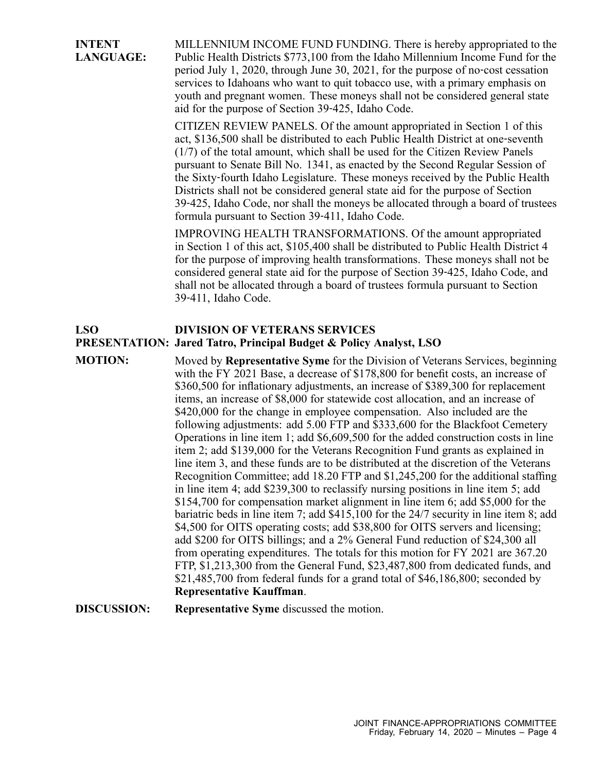**INTENT LANGUAGE:** MILLENNIUM INCOME FUND FUNDING. There is hereby appropriated to the Public Health Districts \$773,100 from the Idaho Millennium Income Fund for the period July 1, 2020, through June 30, 2021, for the purpose of no‐cost cessation services to Idahoans who want to quit tobacco use, with <sup>a</sup> primary emphasis on youth and pregnan<sup>t</sup> women. These moneys shall not be considered general state aid for the purpose of Section 39‐425, Idaho Code.

> CITIZEN REVIEW PANELS. Of the amount appropriated in Section 1 of this act, \$136,500 shall be distributed to each Public Health District at one‐seventh (1/7) of the total amount, which shall be used for the Citizen Review Panels pursuan<sup>t</sup> to Senate Bill No. 1341, as enacted by the Second Regular Session of the Sixty‐fourth Idaho Legislature. These moneys received by the Public Health Districts shall not be considered general state aid for the purpose of Section 39‐425, Idaho Code, nor shall the moneys be allocated through <sup>a</sup> board of trustees formula pursuan<sup>t</sup> to Section 39‐411, Idaho Code.

IMPROVING HEALTH TRANSFORMATIONS. Of the amount appropriated in Section 1 of this act, \$105,400 shall be distributed to Public Health District 4 for the purpose of improving health transformations. These moneys shall not be considered general state aid for the purpose of Section 39‐425, Idaho Code, and shall not be allocated through <sup>a</sup> board of trustees formula pursuan<sup>t</sup> to Section 39‐411, Idaho Code.

#### **LSO DIVISION OF VETERANS SERVICES**

# **PRESENTATION: Jared Tatro, Principal Budget & Policy Analyst, LSO**

**MOTION:** Moved by **Representative Syme** for the Division of Veterans Services, beginning with the FY 2021 Base, <sup>a</sup> decrease of \$178,800 for benefit costs, an increase of \$360,500 for inflationary adjustments, an increase of \$389,300 for replacement items, an increase of \$8,000 for statewide cost allocation, and an increase of \$420,000 for the change in employee compensation. Also included are the following adjustments: add 5.00 FTP and \$333,600 for the Blackfoot Cemetery Operations in line item 1; add \$6,609,500 for the added construction costs in line item 2; add \$139,000 for the Veterans Recognition Fund grants as explained in line item 3, and these funds are to be distributed at the discretion of the Veterans Recognition Committee; add 18.20 FTP and \$1,245,200 for the additional staffing in line item 4; add \$239,300 to reclassify nursing positions in line item 5; add \$154,700 for compensation market alignment in line item 6; add \$5,000 for the bariatric beds in line item 7; add \$415,100 for the 24/7 security in line item 8; add \$4,500 for OITS operating costs; add \$38,800 for OITS servers and licensing; add \$200 for OITS billings; and <sup>a</sup> 2% General Fund reduction of \$24,300 all from operating expenditures. The totals for this motion for FY 2021 are 367.20 FTP, \$1,213,300 from the General Fund, \$23,487,800 from dedicated funds, and \$21,485,700 from federal funds for <sup>a</sup> grand total of \$46,186,800; seconded by **Representative Kauffman**.

## **DISCUSSION: Representative Syme** discussed the motion.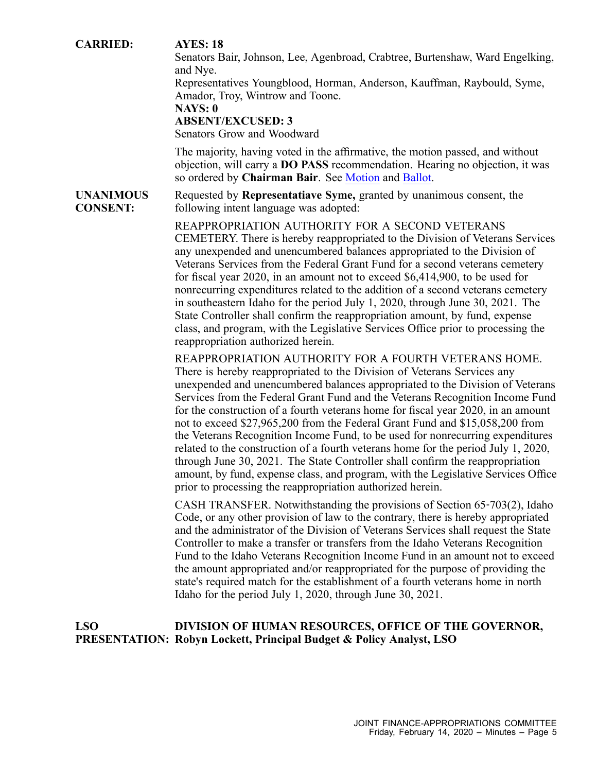## **CARRIED: AYES: 18** Senators Bair, Johnson, Lee, Agenbroad, Crabtree, Burtenshaw, Ward Engelking, and Nye. Representatives Youngblood, Horman, Anderson, Kauffman, Raybould, Syme, Amador, Troy, Wintrow and Toone. **NAYS: 0 ABSENT/EXCUSED: 3** Senators Grow and Woodward The majority, having voted in the affirmative, the motion passed, and without objection, will carry <sup>a</sup> **DO PASS** recommendation. Hearing no objection, it was so ordered by **Chairman Bair**. See [Motion](https://legislature.idaho.gov/wp-content/uploads/budget/JFAC/sessionrecord/2020/6.Economic Development/Self-Governing Agencies/Veterans Services, Division of/~Budget Setting/February 14, 2020/A.Motion.pdf?1582641992) and [Ballot](https://legislature.idaho.gov/wp-content/uploads/budget/JFAC/sessionrecord/2020/6.Economic Development/Self-Governing Agencies/Veterans Services, Division of/~Budget Setting/February 14, 2020/A.Ballot.pdf?1582641992). **UNANIMOUS CONSENT:** Requested by **Representatiave Syme,** granted by unanimous consent, the following intent language was adopted: REAPPROPRIATION AUTHORITY FOR A SECOND VETERANS CEMETERY. There is hereby reappropriated to the Division of Veterans Services any unexpended and unencumbered balances appropriated to the Division of Veterans Services from the Federal Grant Fund for <sup>a</sup> second veterans cemetery for fiscal year 2020, in an amount not to exceed \$6,414,900, to be used for nonrecurring expenditures related to the addition of <sup>a</sup> second veterans cemetery in southeastern Idaho for the period July 1, 2020, through June 30, 2021. The State Controller shall confirm the reappropriation amount, by fund, expense class, and program, with the Legislative Services Office prior to processing the reappropriation authorized herein. REAPPROPRIATION AUTHORITY FOR A FOURTH VETERANS HOME. There is hereby reappropriated to the Division of Veterans Services any unexpended and unencumbered balances appropriated to the Division of Veterans Services from the Federal Grant Fund and the Veterans Recognition Income Fund for the construction of <sup>a</sup> fourth veterans home for fiscal year 2020, in an amount not to exceed \$27,965,200 from the Federal Grant Fund and \$15,058,200 from the Veterans Recognition Income Fund, to be used for nonrecurring expenditures related to the construction of <sup>a</sup> fourth veterans home for the period July 1, 2020, through June 30, 2021. The State Controller shall confirm the reappropriation

CASH TRANSFER. Notwithstanding the provisions of Section 65‐703(2), Idaho Code, or any other provision of law to the contrary, there is hereby appropriated and the administrator of the Division of Veterans Services shall reques<sup>t</sup> the State Controller to make <sup>a</sup> transfer or transfers from the Idaho Veterans Recognition Fund to the Idaho Veterans Recognition Income Fund in an amount not to exceed the amount appropriated and/or reappropriated for the purpose of providing the state's required match for the establishment of <sup>a</sup> fourth veterans home in north Idaho for the period July 1, 2020, through June 30, 2021.

amount, by fund, expense class, and program, with the Legislative Services Office

#### **LSO PRESENTATION: Robyn Lockett, Principal Budget & Policy Analyst, LSO DIVISION OF HUMAN RESOURCES, OFFICE OF THE GOVERNOR,**

prior to processing the reappropriation authorized herein.